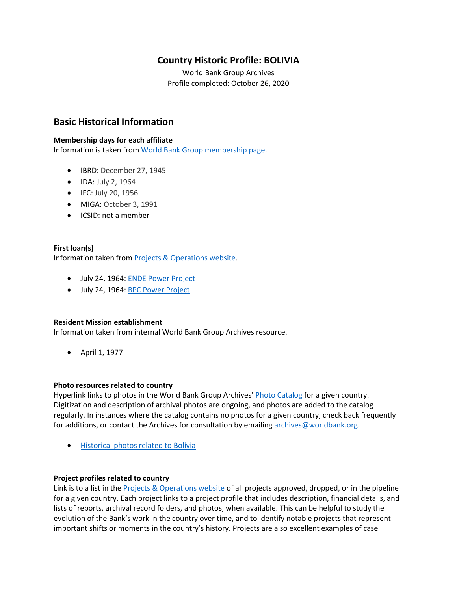# **Country Historic Profile: BOLIVIA**

World Bank Group Archives Profile completed: October 26, 2020

# **Basic Historical Information**

#### **Membership days for each affiliate**

Information is taken from [World Bank Group membership page.](https://www.worldbank.org/en/about/leadership/members#1)

- IBRD: December 27, 1945
- IDA: July 2, 1964
- IFC: July 20, 1956
- MIGA: October 3, 1991
- ICSID: not a member

### **First loan(s)**

Information taken from [Projects & Operations website.](https://projects.worldbank.org/)

- July 24, 1964[: ENDE Power Project](https://projects.worldbank.org/en/projects-operations/project-detail/P006110)
- July 24, 1964[: BPC Power Project](https://projects.worldbank.org/en/projects-operations/project-detail/P006111)

#### **Resident Mission establishment**

Information taken from internal World Bank Group Archives resource.

• April 1, 1977

#### **Photo resources related to country**

Hyperlink links to photos in the World Bank Group Archives' [Photo Catalog](https://archivesphotos.worldbank.org/en/about/archives/photo-gallery) for a given country. Digitization and description of archival photos are ongoing, and photos are added to the catalog regularly. In instances where the catalog contains no photos for a given country, check back frequently for additions, or contact the Archives for consultation by emailing [archives@worldbank.org.](mailto:archives@worldbank.org)

• [Historical photos related to](https://archivesphotos.worldbank.org/en/about/archives/photo-gallery/photo-gallery-landing?wbg_country=Bolivia) Bolivia

#### **Project profiles related to country**

Link is to a list in the [Projects & Operations website](https://projects.worldbank.org/) of all projects approved, dropped, or in the pipeline for a given country. Each project links to a project profile that includes description, financial details, and lists of reports, archival record folders, and photos, when available. This can be helpful to study the evolution of the Bank's work in the country over time, and to identify notable projects that represent important shifts or moments in the country's history. Projects are also excellent examples of case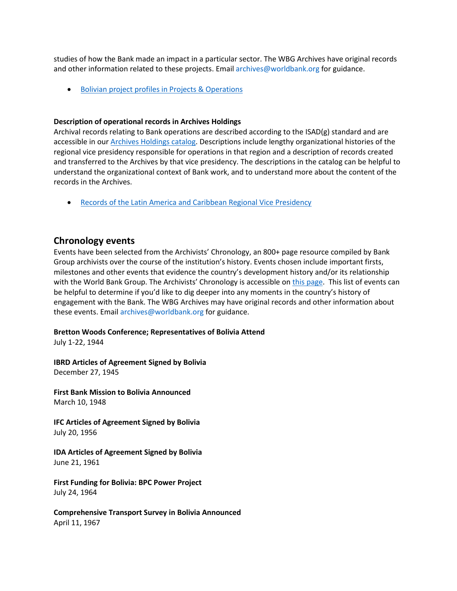studies of how the Bank made an impact in a particular sector. The WBG Archives have original records and other information related to these projects. Email [archives@worldbank.org](mailto:archives@worldbank.org) for guidance.

• Bolivian [project profiles in Projects & Operations](https://projects.worldbank.org/en/projects-operations/projects-list?countrycode_exact=BO)

#### **Description of operational records in Archives Holdings**

Archival records relating to Bank operations are described according to the ISAD(g) standard and are accessible in our [Archives Holdings catalog.](https://archivesholdings.worldbank.org/) Descriptions include lengthy organizational histories of the regional vice presidency responsible for operations in that region and a description of records created and transferred to the Archives by that vice presidency. The descriptions in the catalog can be helpful to understand the organizational context of Bank work, and to understand more about the content of the records in the Archives.

• [Records of the Latin America and Caribbean Regional Vice Presidency](https://archivesholdings.worldbank.org/records-of-latin-america-and-caribbean-regional-vice-presidency)

## **Chronology events**

Events have been selected from the Archivists' Chronology, an 800+ page resource compiled by Bank Group archivists over the course of the institution's history. Events chosen include important firsts, milestones and other events that evidence the country's development history and/or its relationship with the World Bank Group. The Archivists' Chronology is accessible on [this page.](https://www.worldbank.org/en/about/archives/history/timeline) This list of events can be helpful to determine if you'd like to dig deeper into any moments in the country's history of engagement with the Bank. The WBG Archives may have original records and other information about these events. Email [archives@worldbank.org](mailto:archives@worldbank.org) for guidance.

## **Bretton Woods Conference; Representatives of Bolivia Attend**

July 1-22, 1944

**IBRD Articles of Agreement Signed by Bolivia** December 27, 1945

**First Bank Mission to Bolivia Announced** March 10, 1948

**IFC Articles of Agreement Signed by Bolivia** July 20, 1956

**IDA Articles of Agreement Signed by Bolivia** June 21, 1961

**First Funding for Bolivia: BPC Power Project** July 24, 1964

**Comprehensive Transport Survey in Bolivia Announced** April 11, 1967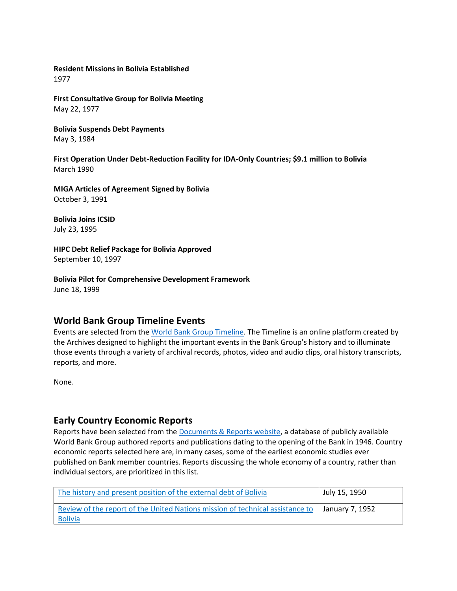**Resident Missions in Bolivia Established** 1977

**First Consultative Group for Bolivia Meeting** May 22, 1977

**Bolivia Suspends Debt Payments** May 3, 1984

**First Operation Under Debt-Reduction Facility for IDA-Only Countries; \$9.1 million to Bolivia**  March 1990

**MIGA Articles of Agreement Signed by Bolivia** October 3, 1991

**Bolivia Joins ICSID** July 23, 1995

**HIPC Debt Relief Package for Bolivia Approved** September 10, 1997

**Bolivia Pilot for Comprehensive Development Framework** June 18, 1999

## **World Bank Group Timeline Events**

Events are selected from th[e World Bank Group Timeline.](https://timeline.worldbank.org/#event-bretton-woods-conference-begins) The Timeline is an online platform created by the Archives designed to highlight the important events in the Bank Group's history and to illuminate those events through a variety of archival records, photos, video and audio clips, oral history transcripts, reports, and more.

None.

## **Early Country Economic Reports**

Reports have been selected from the [Documents & Reports website,](https://documents.worldbank.org/) a database of publicly available World Bank Group authored reports and publications dating to the opening of the Bank in 1946. Country economic reports selected here are, in many cases, some of the earliest economic studies ever published on Bank member countries. Reports discussing the whole economy of a country, rather than individual sectors, are prioritized in this list.

| The history and present position of the external debt of Bolivia                                | July 15, 1950   |
|-------------------------------------------------------------------------------------------------|-----------------|
| Review of the report of the United Nations mission of technical assistance to<br><b>Bolivia</b> | January 7, 1952 |
|                                                                                                 |                 |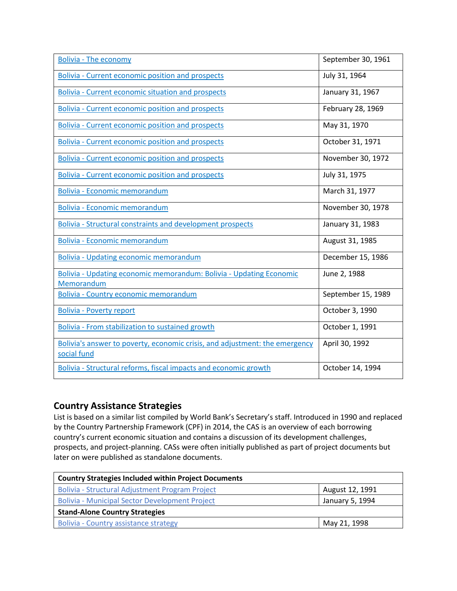| <b>Bolivia - The economy</b>                                                               | September 30, 1961 |
|--------------------------------------------------------------------------------------------|--------------------|
| <b>Bolivia - Current economic position and prospects</b>                                   | July 31, 1964      |
| Bolivia - Current economic situation and prospects                                         | January 31, 1967   |
| <b>Bolivia - Current economic position and prospects</b>                                   | February 28, 1969  |
| <b>Bolivia - Current economic position and prospects</b>                                   | May 31, 1970       |
| <b>Bolivia - Current economic position and prospects</b>                                   | October 31, 1971   |
| Bolivia - Current economic position and prospects                                          | November 30, 1972  |
| <b>Bolivia - Current economic position and prospects</b>                                   | July 31, 1975      |
| <b>Bolivia - Economic memorandum</b>                                                       | March 31, 1977     |
| Bolivia - Economic memorandum                                                              | November 30, 1978  |
| <b>Bolivia - Structural constraints and development prospects</b>                          | January 31, 1983   |
| Bolivia - Economic memorandum                                                              | August 31, 1985    |
| <b>Bolivia - Updating economic memorandum</b>                                              | December 15, 1986  |
| Bolivia - Updating economic memorandum: Bolivia - Updating Economic<br>Memorandum          | June 2, 1988       |
| Bolivia - Country economic memorandum                                                      | September 15, 1989 |
| <b>Bolivia - Poverty report</b>                                                            | October 3, 1990    |
| Bolivia - From stabilization to sustained growth                                           | October 1, 1991    |
| Bolivia's answer to poverty, economic crisis, and adjustment: the emergency<br>social fund | April 30, 1992     |
| Bolivia - Structural reforms, fiscal impacts and economic growth                           | October 14, 1994   |

# **Country Assistance Strategies**

List is based on a similar list compiled by World Bank's Secretary's staff. Introduced in 1990 and replaced by the Country Partnership Framework (CPF) in 2014, the CAS is an overview of each borrowing country's current economic situation and contains a discussion of its development challenges, prospects, and project-planning. CASs were often initially published as part of project documents but later on were published as standalone documents.

| <b>Country Strategies Included within Project Documents</b> |                 |  |
|-------------------------------------------------------------|-----------------|--|
| Bolivia - Structural Adjustment Program Project             | August 12, 1991 |  |
| <b>Bolivia - Municipal Sector Development Project</b>       | January 5, 1994 |  |
| <b>Stand-Alone Country Strategies</b>                       |                 |  |
| <b>Bolivia - Country assistance strategy</b>                | May 21, 1998    |  |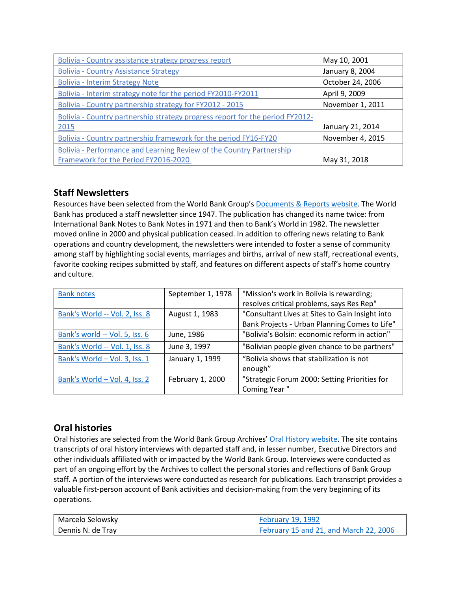| Bolivia - Country assistance strategy progress report                         | May 10, 2001     |
|-------------------------------------------------------------------------------|------------------|
| <b>Bolivia - Country Assistance Strategy</b>                                  | January 8, 2004  |
| <b>Bolivia - Interim Strategy Note</b>                                        | October 24, 2006 |
| Bolivia - Interim strategy note for the period FY2010-FY2011                  | April 9, 2009    |
| Bolivia - Country partnership strategy for FY2012 - 2015                      | November 1, 2011 |
| Bolivia - Country partnership strategy progress report for the period FY2012- |                  |
| 2015                                                                          | January 21, 2014 |
| Bolivia - Country partnership framework for the period FY16-FY20              | November 4, 2015 |
| Bolivia - Performance and Learning Review of the Country Partnership          |                  |
| Framework for the Period FY2016-2020                                          | May 31, 2018     |

# **Staff Newsletters**

Resources have been selected from the World Bank Group's [Documents & Reports website.](https://documents.worldbank.org/) The World Bank has produced a staff newsletter since 1947. The publication has changed its name twice: from International Bank Notes to Bank Notes in 1971 and then to Bank's World in 1982. The newsletter moved online in 2000 and physical publication ceased. In addition to offering news relating to Bank operations and country development, the newsletters were intended to foster a sense of community among staff by highlighting social events, marriages and births, arrival of new staff, recreational events, favorite cooking recipes submitted by staff, and features on different aspects of staff's home country and culture.

| <b>Bank notes</b>              | September 1, 1978 | "Mission's work in Bolivia is rewarding;        |
|--------------------------------|-------------------|-------------------------------------------------|
|                                |                   | resolves critical problems, says Res Rep"       |
| Bank's World -- Vol. 2, Iss. 8 | August 1, 1983    | "Consultant Lives at Sites to Gain Insight into |
|                                |                   | Bank Projects - Urban Planning Comes to Life"   |
| Bank's world -- Vol. 5, Iss. 6 | June, 1986        | "Bolivia's Bolsin: economic reform in action"   |
| Bank's World -- Vol. 1, Iss. 8 | June 3, 1997      | "Bolivian people given chance to be partners"   |
| Bank's World - Vol. 3, Iss. 1  | January 1, 1999   | "Bolivia shows that stabilization is not        |
|                                |                   | enough"                                         |
| Bank's World - Vol. 4, Iss. 2  | February 1, 2000  | "Strategic Forum 2000: Setting Priorities for   |
|                                |                   | Coming Year"                                    |

# **Oral histories**

Oral histories are selected from the World Bank Group Archives' [Oral History website.](https://oralhistory.worldbank.org/) The site contains transcripts of oral history interviews with departed staff and, in lesser number, Executive Directors and other individuals affiliated with or impacted by the World Bank Group. Interviews were conducted as part of an ongoing effort by the Archives to collect the personal stories and reflections of Bank Group staff. A portion of the interviews were conducted as research for publications. Each transcript provides a valuable first-person account of Bank activities and decision-making from the very beginning of its operations.

| Marcelo Selowsky  | <b>February 19, 1992</b>               |
|-------------------|----------------------------------------|
| Dennis N. de Trav | February 15 and 21, and March 22, 2006 |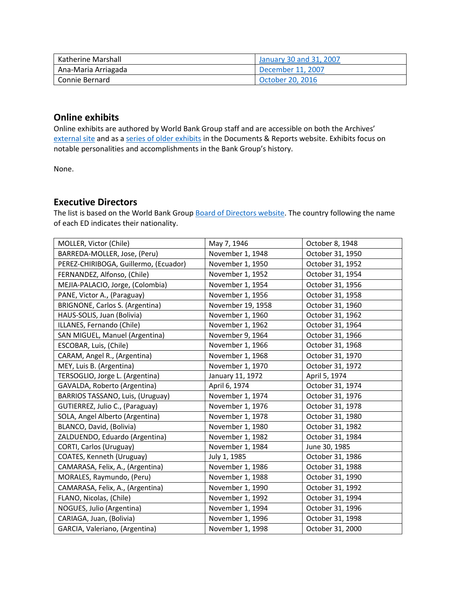| l Katherine Marshall | January 30 and 31, 2007 |
|----------------------|-------------------------|
| Ana-Maria Arriagada  | December 11, 2007       |
| l Connie Bernard     | October 20, 2016        |

## **Online exhibits**

Online exhibits are authored by World Bank Group staff and are accessible on both the Archives' [external site](https://www.worldbank.org/en/about/archives/history/exhibits) and as a [series of older exhibits](https://documents.worldbank.org/en/publication/documents-reports/documentlist?colti=World%20Bank%20Group%20Archives%20exhibit%20series) in the Documents & Reports website. Exhibits focus on notable personalities and accomplishments in the Bank Group's history.

None.

# **Executive Directors**

The list is based on the World Bank Group [Board of Directors website.](https://worldbankgroup.sharepoint.com/sites/wbsites/ExecutiveBoard/Pages/pc/About-the-Boards-05222019-155532/List-of-Executi-05222019-155839.aspx) The country following the name of each ED indicates their nationality.

| MOLLER, Victor (Chile)                | May 7, 1946       | October 8, 1948  |
|---------------------------------------|-------------------|------------------|
| BARREDA-MOLLER, Jose, (Peru)          | November 1, 1948  | October 31, 1950 |
| PEREZ-CHIRIBOGA, Guillermo, (Ecuador) | November 1, 1950  | October 31, 1952 |
| FERNANDEZ, Alfonso, (Chile)           | November 1, 1952  | October 31, 1954 |
| MEJIA-PALACIO, Jorge, (Colombia)      | November 1, 1954  | October 31, 1956 |
|                                       |                   |                  |
| PANE, Victor A., (Paraguay)           | November 1, 1956  | October 31, 1958 |
| BRIGNONE, Carlos S. (Argentina)       | November 19, 1958 | October 31, 1960 |
| HAUS-SOLIS, Juan (Bolivia)            | November 1, 1960  | October 31, 1962 |
| ILLANES, Fernando (Chile)             | November 1, 1962  | October 31, 1964 |
| SAN MIGUEL, Manuel (Argentina)        | November 9, 1964  | October 31, 1966 |
| ESCOBAR, Luis, (Chile)                | November 1, 1966  | October 31, 1968 |
| CARAM, Angel R., (Argentina)          | November 1, 1968  | October 31, 1970 |
| MEY, Luis B. (Argentina)              | November 1, 1970  | October 31, 1972 |
| TERSOGLIO, Jorge L. (Argentina)       | January 11, 1972  | April 5, 1974    |
| GAVALDA, Roberto (Argentina)          | April 6, 1974     | October 31, 1974 |
| BARRIOS TASSANO, Luis, (Uruguay)      | November 1, 1974  | October 31, 1976 |
| GUTIERREZ, Julio C., (Paraguay)       | November 1, 1976  | October 31, 1978 |
| SOLA, Angel Alberto (Argentina)       | November 1, 1978  | October 31, 1980 |
| BLANCO, David, (Bolivia)              | November 1, 1980  | October 31, 1982 |
| ZALDUENDO, Eduardo (Argentina)        | November 1, 1982  | October 31, 1984 |
| CORTI, Carlos (Uruguay)               | November 1, 1984  | June 30, 1985    |
| COATES, Kenneth (Uruguay)             | July 1, 1985      | October 31, 1986 |
| CAMARASA, Felix, A., (Argentina)      | November 1, 1986  | October 31, 1988 |
| MORALES, Raymundo, (Peru)             | November 1, 1988  | October 31, 1990 |
| CAMARASA, Felix, A., (Argentina)      | November 1, 1990  | October 31, 1992 |
| FLANO, Nicolas, (Chile)               | November 1, 1992  | October 31, 1994 |
| NOGUES, Julio (Argentina)             | November 1, 1994  | October 31, 1996 |
| CARIAGA, Juan, (Bolivia)              | November 1, 1996  | October 31, 1998 |
| GARCIA, Valeriano, (Argentina)        | November 1, 1998  | October 31, 2000 |